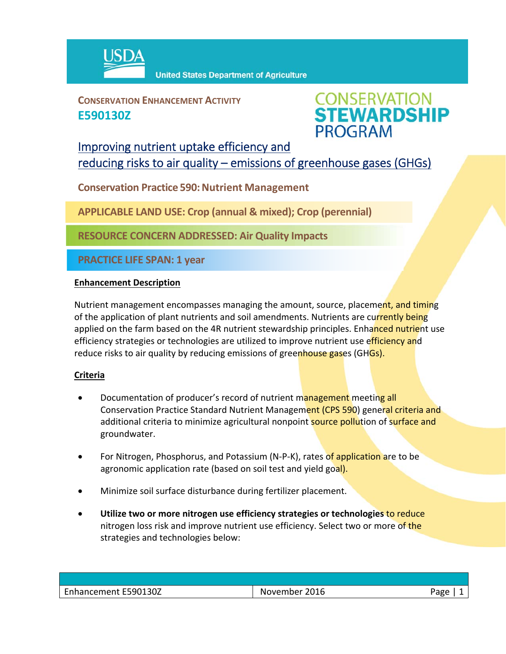

**CONSERVATION ENHANCEMENT ACTIVITY E590130Z**



## Improving nutrient uptake efficiency and reducing risks to air quality – emissions of greenhouse gases (GHGs)

**Conservation Practice 590: Nutrient Management** 

**APPLICABLE LAND USE: Crop (annual & mixed); Crop (perennial)**

**RESOURCE CONCERN ADDRESSED: Air Quality Impacts**

**PRACTICE LIFE SPAN: 1 year**

### **Enhancement Description**

Nutrient management encompasses managing the amount, source, placement, and timing of the application of plant nutrients and soil amendments. Nutrients are currently being applied on the farm based on the 4R nutrient stewardship principles. Enhanced nutrient use efficiency strategies or technologies are utilized to improve nutrient use efficiency and reduce risks to air quality by reducing emissions of greenhouse gases (GHGs).

### **Criteria**

- Documentation of producer's record of nutrient management meeting all Conservation Practice Standard Nutrient Management (CPS 590) general criteria and additional criteria to minimize agricultural nonpoint source pollution of surface and groundwater.
- For Nitrogen, Phosphorus, and Potassium (N-P-K), rates of application are to be agronomic application rate (based on soil test and yield goal).
- Minimize soil surface disturbance during fertilizer placement.
- **Utilize two or more nitrogen use efficiency strategies or technologies** to reduce nitrogen loss risk and improve nutrient use efficiency. Select two or more of the strategies and technologies below:

| Enhancement E590130Z | November 2016 | Page |
|----------------------|---------------|------|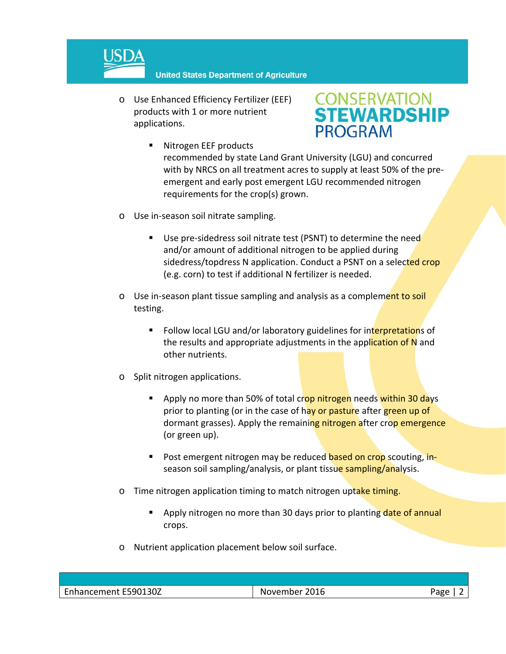

o Use Enhanced Efficiency Fertilizer (EEF) products with 1 or more nutrient applications.

# **CONSERVATION<br>STEWARDSHIP PROGRAM**

- Nitrogen EEF products recommended by state Land Grant University (LGU) and concurred with by NRCS on all treatment acres to supply at least 50% of the pre‐ emergent and early post emergent LGU recommended nitrogen requirements for the crop(s) grown.
- o Use in‐season soil nitrate sampling.
	- Use pre-sidedress soil nitrate test (PSNT) to determine the need and/or amount of additional nitrogen to be applied during sidedress/topdress N application. Conduct a PSNT on a selected crop (e.g. corn) to test if additional N fertilizer is needed.
- o Use in-season plant tissue sampling and analysis as a complement to soil testing.
	- Follow local LGU and/or laboratory guidelines for interpretations of the results and appropriate adjustments in the application of N and other nutrients.
- o Split nitrogen applications.
	- **Apply no more than 50% of total crop nitrogen needs within 30 days** prior to planting (or in the case of hay or pasture after green up of dormant grasses). Apply the remaining nitrogen after crop emergence (or green up).
	- Post emergent nitrogen may be reduced **based on crop** scouting, inseason soil sampling/analysis, or plant tissue sampling/analysis.
- o Time nitrogen application timing to match nitrogen uptake timing.
	- Apply nitrogen no more than 30 days prior to planting date of annual crops.
- o Nutrient application placement below soil surface.

| E590130Z<br>$\overline{\phantom{0}}$<br>- Enhancement E | 2016<br>November | 'age |
|---------------------------------------------------------|------------------|------|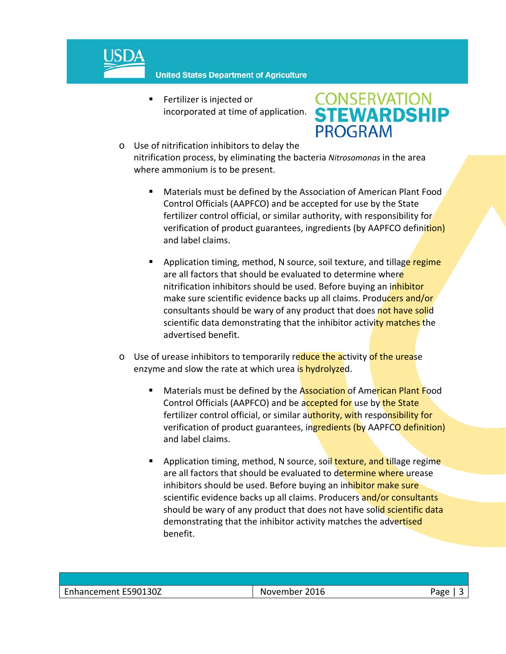**United States Department of Agriculture** 

 Fertilizer is injected or incorporated at time of application.



- o Use of nitrification inhibitors to delay the nitrification process, by eliminating the bacteria *Nitrosomonas* in the area where ammonium is to be present.
	- Materials must be defined by the Association of American Plant Food Control Officials (AAPFCO) and be accepted for use by the State fertilizer control official, or similar authority, with responsibility for verification of product guarantees, ingredients (by AAPFCO definition) and label claims.
	- **Application timing, method, N source, soil texture, and tillage regime** are all factors that should be evaluated to determine where nitrification inhibitors should be used. Before buying an inhibitor make sure scientific evidence backs up all claims. Producers and/or consultants should be wary of any product that does not have solid scientific data demonstrating that the inhibitor activity matches the advertised benefit.
- o Use of urease inhibitors to temporarily reduce the activity of the urease enzyme and slow the rate at which urea is hydrolyzed.
	- **Materials must be defined by the Association of American Plant Food** Control Officials (AAPFCO) and be accepted for use by the State fertilizer control official, or similar authority, with responsibility for verification of product guarantees, ingredients (by AAPFCO definition) and label claims.
	- **Application timing, method, N source, soil texture, and tillage regime** are all factors that should be evaluated to determine where urease inhibitors should be used. Before buying an inhibitor make sure scientific evidence backs up all claims. Producers and/or consultants should be wary of any product that does not have solid scientific data demonstrating that the inhibitor activity matches the advertised benefit.

| EFOO1307<br>$\overline{\phantom{0}}$<br>ושי<br>-JUZ-<br>_____ | 204C<br>.U10<br>IМ<br>∙ ivernner<br>. |  |
|---------------------------------------------------------------|---------------------------------------|--|
|                                                               |                                       |  |